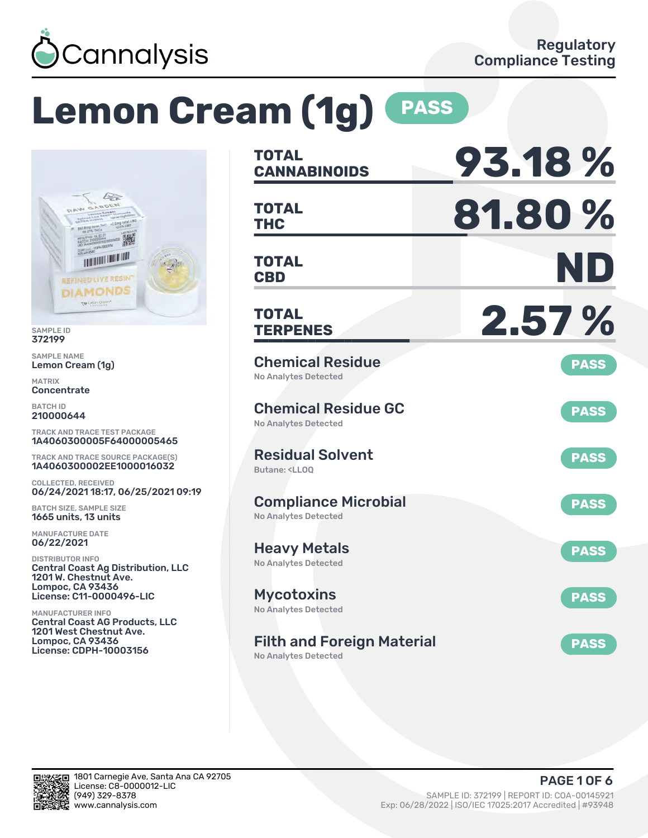

# **Lemon Cream (1g) PASS**



SAMPLE ID 372199

SAMPLE NAME Lemon Cream (1g)

MATRIX Concentrate

BATCH ID 210000644

TRACK AND TRACE TEST PACKAGE 1A4060300005F64000005465

TRACK AND TRACE SOURCE PACKAGE(S) 1A4060300002EE1000016032

COLLECTED, RECEIVED 06/24/2021 18:17, 06/25/2021 09:19

BATCH SIZE, SAMPLE SIZE 1665 units, 13 units

MANUFACTURE DATE 06/22/2021

DISTRIBUTOR INFO Central Coast Ag Distribution, LLC 1201 W. Chestnut Ave. Lompoc, CA 93436 License: C11-0000496-LIC

MANUFACTURER INFO Central Coast AG Products, LLC 1201 West Chestnut Ave. Lompoc, CA 93436 License: CDPH-10003156

| TOTAL<br><b>CANNABINOIDS</b>                                                 | 93.18%      |
|------------------------------------------------------------------------------|-------------|
| TOTAL<br>THC                                                                 | 81.80%      |
| <b>TOTAL</b><br><b>CBD</b>                                                   | ND          |
| <b>TOTAL</b><br><b>TERPENES</b>                                              | 2.57%       |
| <b>Chemical Residue</b><br><b>No Analytes Detected</b>                       | <b>PASS</b> |
| <b>Chemical Residue GC</b><br><b>No Analytes Detected</b>                    | <b>PASS</b> |
| <b>Residual Solvent</b><br>Butane: <ll00< td=""><td><b>PASS</b></td></ll00<> | <b>PASS</b> |
| <b>Compliance Microbial</b><br><b>No Analytes Detected</b>                   | <b>PASS</b> |
| <b>Heavy Metals</b><br><b>No Analytes Detected</b>                           | <b>PASS</b> |
| <b>Mycotoxins</b><br>No Analytes Detected                                    | <b>PASS</b> |
| <b>Filth and Foreign Material</b>                                            | <b>PASS</b> |

No Analytes Detected

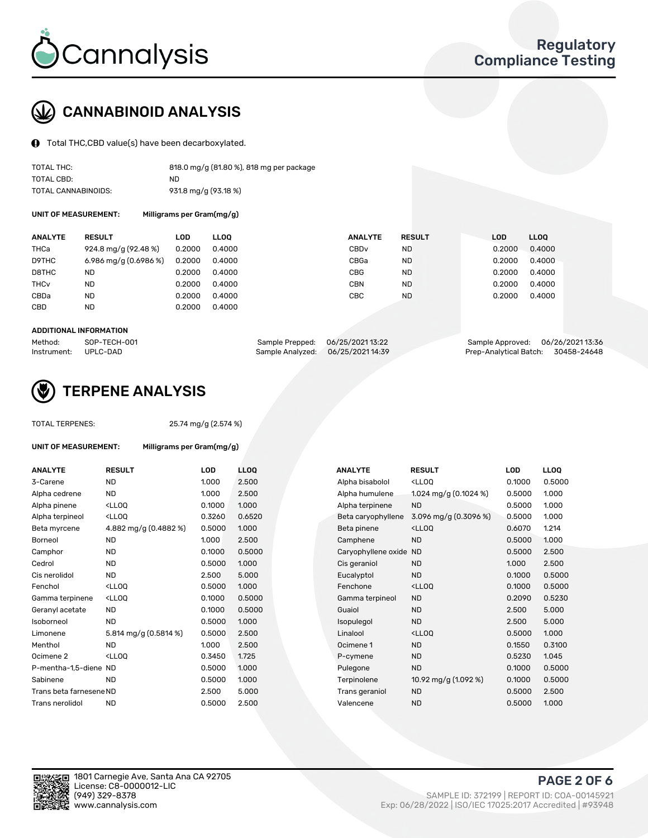

## CANNABINOID ANALYSIS

Total THC,CBD value(s) have been decarboxylated.

| TOTAL THC:          | 818.0 mg/g (81.80 %), 818 mg per package |
|---------------------|------------------------------------------|
| TOTAL CBD:          | ND.                                      |
| TOTAL CANNABINOIDS: | 931.8 mg/g (93.18 %)                     |

UNIT OF MEASUREMENT: Milligrams per Gram(mg/g)

| <b>ANALYTE</b>         | <b>RESULT</b>         | LOD    | <b>LLOO</b> | <b>ANALYTE</b>   | <b>RESULT</b> | <b>LOD</b> | <b>LLOO</b> |
|------------------------|-----------------------|--------|-------------|------------------|---------------|------------|-------------|
| THCa                   | 924.8 mg/g (92.48 %)  | 0.2000 | 0.4000      | CBD <sub>v</sub> | ND            | 0.2000     | 0.4000      |
| D9THC                  | 6.986 mg/g (0.6986 %) | 0.2000 | 0.4000      | CBGa             | ND            | 0.2000     | 0.4000      |
| D8THC                  | <b>ND</b>             | 0.2000 | 0.4000      | <b>CBG</b>       | <b>ND</b>     | 0.2000     | 0.4000      |
| <b>THC<sub>v</sub></b> | <b>ND</b>             | 0.2000 | 0.4000      | CBN              | ND            | 0.2000     | 0.4000      |
| CBDa                   | <b>ND</b>             | 0.2000 | 0.4000      | CBC              | <b>ND</b>     | 0.2000     | 0.4000      |
| CBD                    | ND                    | 0.2000 | 0.4000      |                  |               |            |             |
|                        |                       |        |             |                  |               |            |             |

#### ADDITIONAL INFORMATION

| Method:              | SOP-TECH-001 | Sample Prepped: 06/25/202113:22   | Sample Approved: 06/26/2021 13:36  |  |
|----------------------|--------------|-----------------------------------|------------------------------------|--|
| Instrument: UPLC-DAD |              | Sample Analyzed: 06/25/2021 14:39 | Prep-Analytical Batch: 30458-24648 |  |



## TERPENE ANALYSIS

TOTAL TERPENES: 25.74 mg/g (2.574 %)

| <b>UNIT OF MEASUREMENT:</b> |                                                    | Milligrams per Gram(mg/g) |                  |  |  |  |  |  |
|-----------------------------|----------------------------------------------------|---------------------------|------------------|--|--|--|--|--|
| <b>ANALYTE</b>              | <b>RESULT</b>                                      | <b>LOD</b>                | LLO <sub>0</sub> |  |  |  |  |  |
| 3-Carene                    | <b>ND</b>                                          | 1.000                     | 2.50             |  |  |  |  |  |
| Alpha cedrene               | <b>ND</b>                                          | 1.000                     | 2.50             |  |  |  |  |  |
| Alpha pinene                | <ll0q< td=""><td>0.1000</td><td>1.000</td></ll0q<> | 0.1000                    | 1.000            |  |  |  |  |  |
| Alpha terpineol             | <ll0q< td=""><td>0.3260</td><td>0.65</td></ll0q<>  | 0.3260                    | 0.65             |  |  |  |  |  |
| Beta myrcene                | 4.882 mg/g (0.4882 %)                              | 0.5000                    | 1.000            |  |  |  |  |  |
| Borneol                     | <b>ND</b>                                          | 1.000                     | 2.50             |  |  |  |  |  |
| Camphor                     | <b>ND</b>                                          | 0.1000                    | 0.50             |  |  |  |  |  |
| Cedrol                      | <b>ND</b>                                          | 0.5000                    | 1.000            |  |  |  |  |  |
| Cis nerolidol               | ND.                                                | 2.500                     | 5.00             |  |  |  |  |  |
| Fenchol                     | <lloq< td=""><td>0.5000</td><td>1.000</td></lloq<> | 0.5000                    | 1.000            |  |  |  |  |  |
| Gamma terpinene             | <ll00< td=""><td>0.1000</td><td>0.50</td></ll00<>  | 0.1000                    | 0.50             |  |  |  |  |  |
| Geranyl acetate             | ND                                                 | 0.1000                    | 0.50             |  |  |  |  |  |
| Isoborneol                  | ND.                                                | 0.5000                    | 1.000            |  |  |  |  |  |
| Limonene                    | 5.814 mg/g (0.5814 %)                              | 0.5000                    | 2.50             |  |  |  |  |  |
| Menthol                     | ND.                                                | 1.000                     | 2.50             |  |  |  |  |  |
| Ocimene <sub>2</sub>        | <lloo< td=""><td>0.3450</td><td>1.725</td></lloo<> | 0.3450                    | 1.725            |  |  |  |  |  |
| P-mentha-1,5-diene ND       |                                                    | 0.5000                    | 1.000            |  |  |  |  |  |
| Sabinene                    | ND.                                                | 0.5000                    | 1.000            |  |  |  |  |  |
| Trans beta farnesene ND     |                                                    | 2.500                     | 5.00             |  |  |  |  |  |
| Trans nerolidol             | <b>ND</b>                                          | 0.5000                    | 2.50             |  |  |  |  |  |

| ANALYTE                 | <b>RESULT</b>                                                                                                                                          | <b>LOD</b> | <b>LLOQ</b> | <b>ANALYTE</b>         | <b>RESULT</b>                                       | <b>LOD</b> | <b>LLOQ</b> |
|-------------------------|--------------------------------------------------------------------------------------------------------------------------------------------------------|------------|-------------|------------------------|-----------------------------------------------------|------------|-------------|
| 3-Carene                | <b>ND</b>                                                                                                                                              | 1.000      | 2.500       | Alpha bisabolol        | <ll0q< td=""><td>0.1000</td><td>0.5000</td></ll0q<> | 0.1000     | 0.5000      |
| Alpha cedrene           | <b>ND</b>                                                                                                                                              | 1.000      | 2.500       | Alpha humulene         | 1.024 mg/g $(0.1024\%)$                             | 0.5000     | 1.000       |
| Alpha pinene            | <lloq< td=""><td>0.1000</td><td>1.000</td><td>Alpha terpinene</td><td><b>ND</b></td><td>0.5000</td><td>1.000</td></lloq<>                              | 0.1000     | 1.000       | Alpha terpinene        | <b>ND</b>                                           | 0.5000     | 1.000       |
| Alpha terpineol         | <lloq< td=""><td>0.3260</td><td>0.6520</td><td>Beta caryophyllene</td><td>3.096 mg/g <math>(0.3096\%)</math></td><td>0.5000</td><td>1.000</td></lloq<> | 0.3260     | 0.6520      | Beta caryophyllene     | 3.096 mg/g $(0.3096\%)$                             | 0.5000     | 1.000       |
| Beta myrcene            | 4.882 mg/g (0.4882 %)                                                                                                                                  | 0.5000     | 1.000       | Beta pinene            | <ll0q< td=""><td>0.6070</td><td>1.214</td></ll0q<>  | 0.6070     | 1.214       |
| Borneol                 | <b>ND</b>                                                                                                                                              | 1.000      | 2.500       | Camphene               | <b>ND</b>                                           | 0.5000     | 1.000       |
| Camphor                 | <b>ND</b>                                                                                                                                              | 0.1000     | 0.5000      | Caryophyllene oxide ND |                                                     | 0.5000     | 2.500       |
| Cedrol                  | <b>ND</b>                                                                                                                                              | 0.5000     | 1.000       | Cis geraniol           | <b>ND</b>                                           | 1.000      | 2.500       |
| Cis nerolidol           | <b>ND</b>                                                                                                                                              | 2.500      | 5.000       | Eucalyptol             | <b>ND</b>                                           | 0.1000     | 0.5000      |
| Fenchol                 | <lloq< td=""><td>0.5000</td><td>1.000</td><td>Fenchone</td><td><ll0q< td=""><td>0.1000</td><td>0.5000</td></ll0q<></td></lloq<>                        | 0.5000     | 1.000       | Fenchone               | <ll0q< td=""><td>0.1000</td><td>0.5000</td></ll0q<> | 0.1000     | 0.5000      |
| Gamma terpinene         | <ll0q< td=""><td>0.1000</td><td>0.5000</td><td>Gamma terpineol</td><td><b>ND</b></td><td>0.2090</td><td>0.5230</td></ll0q<>                            | 0.1000     | 0.5000      | Gamma terpineol        | <b>ND</b>                                           | 0.2090     | 0.5230      |
| Geranyl acetate         | <b>ND</b>                                                                                                                                              | 0.1000     | 0.5000      | Guaiol                 | <b>ND</b>                                           | 2.500      | 5.000       |
| Isoborneol              | <b>ND</b>                                                                                                                                              | 0.5000     | 1.000       | Isopulegol             | <b>ND</b>                                           | 2.500      | 5.000       |
| Limonene                | 5.814 mg/g $(0.5814\%)$                                                                                                                                | 0.5000     | 2.500       | Linalool               | <ll0q< td=""><td>0.5000</td><td>1.000</td></ll0q<>  | 0.5000     | 1.000       |
| Menthol                 | <b>ND</b>                                                                                                                                              | 1.000      | 2.500       | Ocimene 1              | <b>ND</b>                                           | 0.1550     | 0.3100      |
| Ocimene 2               | <lloq< td=""><td>0.3450</td><td>1.725</td><td>P-cymene</td><td><b>ND</b></td><td>0.5230</td><td>1.045</td></lloq<>                                     | 0.3450     | 1.725       | P-cymene               | <b>ND</b>                                           | 0.5230     | 1.045       |
| P-mentha-1,5-diene ND   |                                                                                                                                                        | 0.5000     | 1.000       | Pulegone               | <b>ND</b>                                           | 0.1000     | 0.5000      |
| Sabinene                | <b>ND</b>                                                                                                                                              | 0.5000     | 1.000       | Terpinolene            | 10.92 mg/g $(1.092 \%)$                             | 0.1000     | 0.5000      |
| Trans beta farnesene ND |                                                                                                                                                        | 2.500      | 5.000       | Trans geraniol         | <b>ND</b>                                           | 0.5000     | 2.500       |
| Trans nerolidol         | <b>ND</b>                                                                                                                                              | 0.5000     | 2.500       | Valencene              | <b>ND</b>                                           | 0.5000     | 1.000       |
|                         |                                                                                                                                                        |            |             |                        |                                                     |            |             |



PAGE 2 OF 6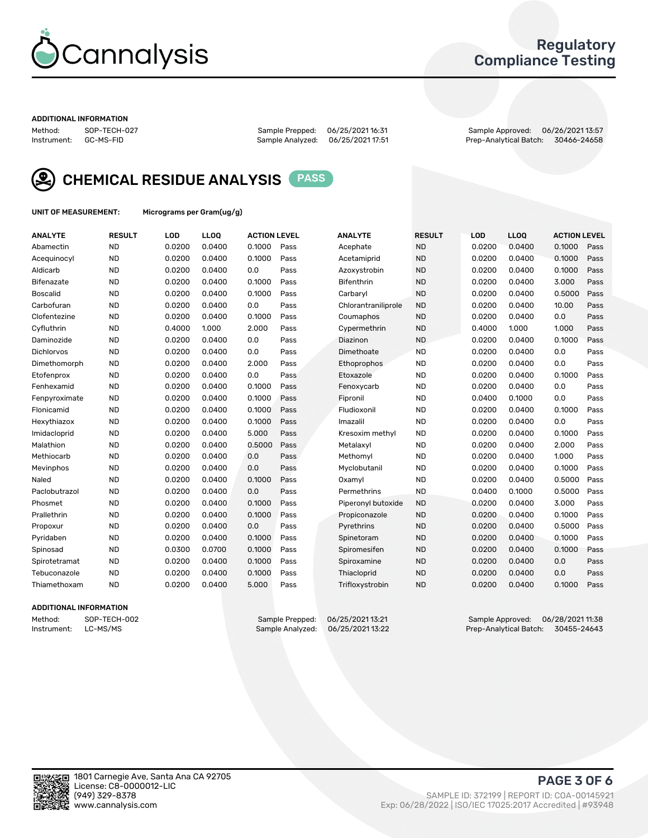

### Regulatory Compliance Testing

#### ADDITIONAL INFORMATION

Method: SOP-TECH-027 Sample Prepped: 06/25/2021 16:31 Sample Approved: 06/26/2021 13:57 Prep-Analytical Batch: 30466-24658



CHEMICAL RESIDUE ANALYSIS PASS

UNIT OF MEASUREMENT: Micrograms per Gram(ug/g)

| <b>ANALYTE</b>    | <b>RESULT</b> | LOD    | LL <sub>OO</sub> | <b>ACTION LEVEL</b> |      | <b>ANALYTE</b>      | <b>RESULT</b> | LOD    | <b>LLOO</b> | <b>ACTION LEVEL</b> |      |
|-------------------|---------------|--------|------------------|---------------------|------|---------------------|---------------|--------|-------------|---------------------|------|
| Abamectin         | <b>ND</b>     | 0.0200 | 0.0400           | 0.1000              | Pass | Acephate            | <b>ND</b>     | 0.0200 | 0.0400      | 0.1000              | Pass |
| Acequinocyl       | <b>ND</b>     | 0.0200 | 0.0400           | 0.1000              | Pass | Acetamiprid         | <b>ND</b>     | 0.0200 | 0.0400      | 0.1000              | Pass |
| Aldicarb          | <b>ND</b>     | 0.0200 | 0.0400           | 0.0                 | Pass | Azoxystrobin        | <b>ND</b>     | 0.0200 | 0.0400      | 0.1000              | Pass |
| Bifenazate        | <b>ND</b>     | 0.0200 | 0.0400           | 0.1000              | Pass | <b>Bifenthrin</b>   | <b>ND</b>     | 0.0200 | 0.0400      | 3.000               | Pass |
| <b>Boscalid</b>   | <b>ND</b>     | 0.0200 | 0.0400           | 0.1000              | Pass | Carbaryl            | <b>ND</b>     | 0.0200 | 0.0400      | 0.5000              | Pass |
| Carbofuran        | <b>ND</b>     | 0.0200 | 0.0400           | 0.0                 | Pass | Chlorantraniliprole | <b>ND</b>     | 0.0200 | 0.0400      | 10.00               | Pass |
| Clofentezine      | <b>ND</b>     | 0.0200 | 0.0400           | 0.1000              | Pass | Coumaphos           | <b>ND</b>     | 0.0200 | 0.0400      | 0.0                 | Pass |
| Cyfluthrin        | <b>ND</b>     | 0.4000 | 1.000            | 2.000               | Pass | Cypermethrin        | <b>ND</b>     | 0.4000 | 1.000       | 1.000               | Pass |
| Daminozide        | <b>ND</b>     | 0.0200 | 0.0400           | 0.0                 | Pass | Diazinon            | <b>ND</b>     | 0.0200 | 0.0400      | 0.1000              | Pass |
| <b>Dichlorvos</b> | <b>ND</b>     | 0.0200 | 0.0400           | 0.0                 | Pass | Dimethoate          | <b>ND</b>     | 0.0200 | 0.0400      | 0.0                 | Pass |
| Dimethomorph      | <b>ND</b>     | 0.0200 | 0.0400           | 2.000               | Pass | Ethoprophos         | <b>ND</b>     | 0.0200 | 0.0400      | 0.0                 | Pass |
| Etofenprox        | <b>ND</b>     | 0.0200 | 0.0400           | 0.0                 | Pass | Etoxazole           | <b>ND</b>     | 0.0200 | 0.0400      | 0.1000              | Pass |
| Fenhexamid        | <b>ND</b>     | 0.0200 | 0.0400           | 0.1000              | Pass | Fenoxycarb          | <b>ND</b>     | 0.0200 | 0.0400      | 0.0                 | Pass |
| Fenpyroximate     | <b>ND</b>     | 0.0200 | 0.0400           | 0.1000              | Pass | Fipronil            | <b>ND</b>     | 0.0400 | 0.1000      | 0.0                 | Pass |
| Flonicamid        | <b>ND</b>     | 0.0200 | 0.0400           | 0.1000              | Pass | Fludioxonil         | <b>ND</b>     | 0.0200 | 0.0400      | 0.1000              | Pass |
| Hexythiazox       | <b>ND</b>     | 0.0200 | 0.0400           | 0.1000              | Pass | Imazalil            | <b>ND</b>     | 0.0200 | 0.0400      | 0.0                 | Pass |
| Imidacloprid      | <b>ND</b>     | 0.0200 | 0.0400           | 5.000               | Pass | Kresoxim methyl     | <b>ND</b>     | 0.0200 | 0.0400      | 0.1000              | Pass |
| Malathion         | <b>ND</b>     | 0.0200 | 0.0400           | 0.5000              | Pass | Metalaxyl           | <b>ND</b>     | 0.0200 | 0.0400      | 2.000               | Pass |
| Methiocarb        | <b>ND</b>     | 0.0200 | 0.0400           | 0.0                 | Pass | Methomyl            | <b>ND</b>     | 0.0200 | 0.0400      | 1.000               | Pass |
| Mevinphos         | <b>ND</b>     | 0.0200 | 0.0400           | 0.0                 | Pass | Myclobutanil        | <b>ND</b>     | 0.0200 | 0.0400      | 0.1000              | Pass |
| Naled             | <b>ND</b>     | 0.0200 | 0.0400           | 0.1000              | Pass | Oxamyl              | <b>ND</b>     | 0.0200 | 0.0400      | 0.5000              | Pass |
| Paclobutrazol     | <b>ND</b>     | 0.0200 | 0.0400           | 0.0                 | Pass | Permethrins         | <b>ND</b>     | 0.0400 | 0.1000      | 0.5000              | Pass |
| Phosmet           | <b>ND</b>     | 0.0200 | 0.0400           | 0.1000              | Pass | Piperonyl butoxide  | <b>ND</b>     | 0.0200 | 0.0400      | 3.000               | Pass |
| Prallethrin       | <b>ND</b>     | 0.0200 | 0.0400           | 0.1000              | Pass | Propiconazole       | <b>ND</b>     | 0.0200 | 0.0400      | 0.1000              | Pass |
| Propoxur          | <b>ND</b>     | 0.0200 | 0.0400           | 0.0                 | Pass | Pyrethrins          | <b>ND</b>     | 0.0200 | 0.0400      | 0.5000              | Pass |
| Pyridaben         | <b>ND</b>     | 0.0200 | 0.0400           | 0.1000              | Pass | Spinetoram          | <b>ND</b>     | 0.0200 | 0.0400      | 0.1000              | Pass |
| Spinosad          | <b>ND</b>     | 0.0300 | 0.0700           | 0.1000              | Pass | Spiromesifen        | <b>ND</b>     | 0.0200 | 0.0400      | 0.1000              | Pass |
| Spirotetramat     | <b>ND</b>     | 0.0200 | 0.0400           | 0.1000              | Pass | Spiroxamine         | <b>ND</b>     | 0.0200 | 0.0400      | 0.0                 | Pass |
| Tebuconazole      | <b>ND</b>     | 0.0200 | 0.0400           | 0.1000              | Pass | Thiacloprid         | <b>ND</b>     | 0.0200 | 0.0400      | 0.0                 | Pass |
| Thiamethoxam      | <b>ND</b>     | 0.0200 | 0.0400           | 5.000               | Pass | Trifloxystrobin     | <b>ND</b>     | 0.0200 | 0.0400      | 0.1000              | Pass |

#### ADDITIONAL INFORMATION

Method: SOP-TECH-002 Sample Prepped: 06/25/2021 13:21 Sample Approved: 06/28/2021 11:38<br>Instrument: LC-MS/MS Sample Analyzed: 06/25/2021 13:22 Prep-Analytical Batch: 30455-24643 Prep-Analytical Batch: 30455-24643

PAGE 3 OF 6

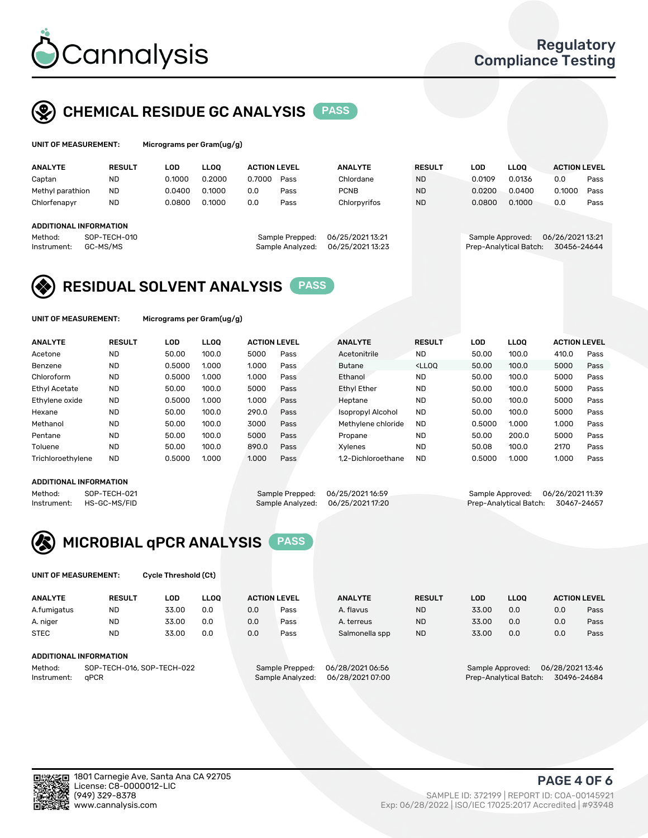

## CHEMICAL RESIDUE GC ANALYSIS PASS

grams per Gram(ug/g)

| <b>ANALYTE</b>                                   | <b>RESULT</b>            | LOD    | <b>LLOO</b> | <b>ACTION LEVEL</b> |                                     | <b>ANALYTE</b>                       | <b>RESULT</b> | LOD              | <b>LLOO</b>            | <b>ACTION LEVEL</b>            |      |
|--------------------------------------------------|--------------------------|--------|-------------|---------------------|-------------------------------------|--------------------------------------|---------------|------------------|------------------------|--------------------------------|------|
| Captan                                           | <b>ND</b>                | 0.1000 | 0.2000      | 0.7000              | Pass                                | Chlordane                            | <b>ND</b>     | 0.0109           | 0.0136                 | 0.0                            | Pass |
| Methyl parathion                                 | <b>ND</b>                | 0.0400 | 0.1000      | 0.0                 | Pass                                | <b>PCNB</b>                          | <b>ND</b>     | 0.0200           | 0.0400                 | 0.1000                         | Pass |
| Chlorfenapyr                                     | <b>ND</b>                | 0.0800 | 0.1000      | 0.0                 | Pass                                | Chlorpyrifos                         | <b>ND</b>     | 0.0800           | 0.1000                 | 0.0                            | Pass |
| ADDITIONAL INFORMATION<br>Method:<br>Instrument: | SOP-TECH-010<br>GC-MS/MS |        |             |                     | Sample Prepped:<br>Sample Analyzed: | 06/25/2021 13:21<br>06/25/2021 13:23 |               | Sample Approved: | Prep-Analytical Batch: | 06/26/202113:21<br>30456-24644 |      |

## RESIDUAL SOLVENT ANALYSIS PASS

UNIT OF MEASUREMENT: Micrograms per Gram(ug/g)

| <b>ANALYTE</b>       | <b>RESULT</b> | LOD    | <b>LLOO</b> | <b>ACTION LEVEL</b> |      | <b>ANALYTE</b>     | <b>RESULT</b>                                                               | LOD    | LLOO  | <b>ACTION LEVEL</b> |      |
|----------------------|---------------|--------|-------------|---------------------|------|--------------------|-----------------------------------------------------------------------------|--------|-------|---------------------|------|
| Acetone              | <b>ND</b>     | 50.00  | 100.0       | 5000                | Pass | Acetonitrile       | <b>ND</b>                                                                   | 50.00  | 100.0 | 410.0               | Pass |
| Benzene              | <b>ND</b>     | 0.5000 | 1.000       | 1.000               | Pass | <b>Butane</b>      | <lloo< td=""><td>50.00</td><td>100.0</td><td>5000</td><td>Pass</td></lloo<> | 50.00  | 100.0 | 5000                | Pass |
| Chloroform           | <b>ND</b>     | 0.5000 | 1.000       | 1.000               | Pass | Ethanol            | <b>ND</b>                                                                   | 50.00  | 100.0 | 5000                | Pass |
| <b>Ethyl Acetate</b> | <b>ND</b>     | 50.00  | 100.0       | 5000                | Pass | <b>Ethyl Ether</b> | <b>ND</b>                                                                   | 50.00  | 100.0 | 5000                | Pass |
| Ethylene oxide       | <b>ND</b>     | 0.5000 | 1.000       | 1.000               | Pass | Heptane            | <b>ND</b>                                                                   | 50.00  | 100.0 | 5000                | Pass |
| Hexane               | <b>ND</b>     | 50.00  | 100.0       | 290.0               | Pass | Isopropyl Alcohol  | <b>ND</b>                                                                   | 50.00  | 100.0 | 5000                | Pass |
| Methanol             | <b>ND</b>     | 50.00  | 100.0       | 3000                | Pass | Methylene chloride | <b>ND</b>                                                                   | 0.5000 | 1.000 | 1.000               | Pass |
| Pentane              | <b>ND</b>     | 50.00  | 100.0       | 5000                | Pass | Propane            | <b>ND</b>                                                                   | 50.00  | 200.0 | 5000                | Pass |
| Toluene              | <b>ND</b>     | 50.00  | 100.0       | 890.0               | Pass | Xvlenes            | <b>ND</b>                                                                   | 50.08  | 100.0 | 2170                | Pass |
| Trichloroethylene    | <b>ND</b>     | 0.5000 | 1.000       | 1.000               | Pass | 1.2-Dichloroethane | <b>ND</b>                                                                   | 0.5000 | 1.000 | 1.000               | Pass |

#### ADDITIONAL INFORMATION

Method: SOP-TECH-021 Sample Prepped: 06/25/202116:59 Sample Approved: 06/26/202111:39<br>Instrument: HS-GC-MS/FID Sample Analyzed: 06/25/202117:20 Prep-Analytical Batch: 30467-24657 Prep-Analytical Batch: 30467-24657



UNIT OF MEASUREMENT: Cycle Threshold (Ct)

| <b>ANALYTE</b>                        | <b>RESULT</b>          | LOD   | <b>LLOO</b> |                 | <b>ACTION LEVEL</b> | <b>ANALYTE</b> | <b>RESULT</b>    | <b>LOD</b> | <b>LLOO</b>      |     | <b>ACTION LEVEL</b> |
|---------------------------------------|------------------------|-------|-------------|-----------------|---------------------|----------------|------------------|------------|------------------|-----|---------------------|
| A.fumigatus                           | <b>ND</b>              | 33.00 | 0.0         | 0.0             | Pass                | A. flavus      | <b>ND</b>        | 33.00      | 0.0              | 0.0 | Pass                |
| A. niger                              | <b>ND</b>              | 33.00 | 0.0         | 0.0             | Pass                | A. terreus     | <b>ND</b>        | 33.00      | 0.0              | 0.0 | Pass                |
| <b>STEC</b>                           | <b>ND</b>              | 33.00 | 0.0         | 0.0             | Pass                | Salmonella spp | <b>ND</b>        | 33.00      | 0.0              | 0.0 | Pass                |
|                                       | ADDITIONAL INFORMATION |       |             |                 |                     |                |                  |            |                  |     |                     |
| SOP-TECH-016, SOP-TECH-022<br>Method: |                        |       |             | Sample Prepped: | 06/28/2021 06:56    |                | Sample Approved: |            | 06/28/2021 13:46 |     |                     |

Instrument: qPCR Sample Analyzed: 06/28/2021 07:00 Prep-Analytical Batch: 30496-24684

PAGE 4 OF 6

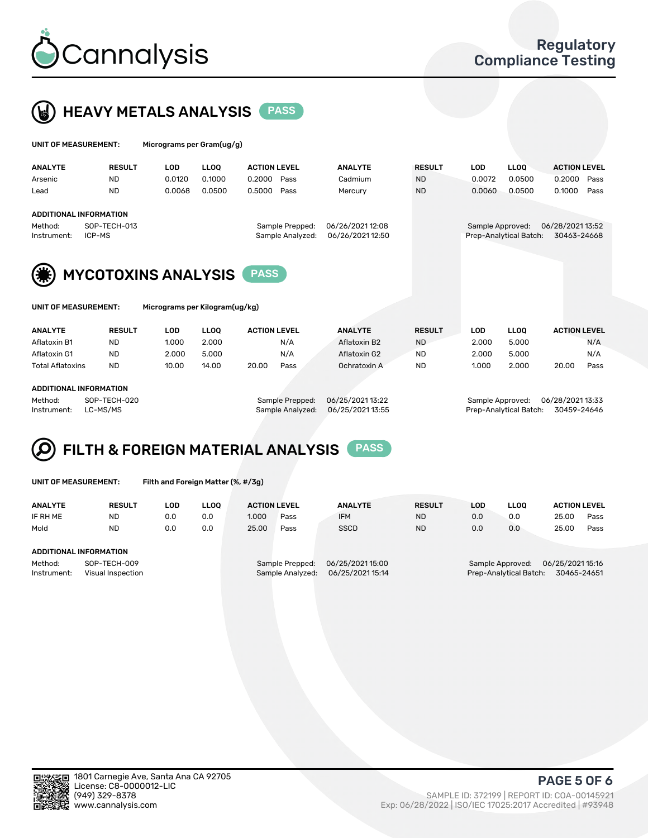



| UNIT OF MEASUREMENT: |                               | Micrograms per Gram(ug/g) |             |                     |                  |                  |               |                  |                        |                     |      |
|----------------------|-------------------------------|---------------------------|-------------|---------------------|------------------|------------------|---------------|------------------|------------------------|---------------------|------|
| <b>ANALYTE</b>       | <b>RESULT</b>                 | LOD                       | <b>LLOO</b> | <b>ACTION LEVEL</b> |                  | <b>ANALYTE</b>   | <b>RESULT</b> | <b>LOD</b>       | <b>LLOO</b>            | <b>ACTION LEVEL</b> |      |
| Arsenic              | <b>ND</b>                     | 0.0120                    | 0.1000      | 0.2000              | Pass             | Cadmium          | <b>ND</b>     | 0.0072           | 0.0500                 | 0.2000              | Pass |
| Lead                 | <b>ND</b>                     | 0.0068                    | 0.0500      | 0.5000              | Pass             | Mercury          | <b>ND</b>     | 0.0060           | 0.0500                 | 0.1000              | Pass |
|                      | <b>ADDITIONAL INFORMATION</b> |                           |             |                     |                  |                  |               |                  |                        |                     |      |
| Method:              | SOP-TECH-013                  |                           |             |                     | Sample Prepped:  | 06/26/2021 12:08 |               | Sample Approved: |                        | 06/28/202113:52     |      |
| Instrument:          | ICP-MS                        |                           |             |                     | Sample Analyzed: | 06/26/202112:50  |               |                  | Prep-Analytical Batch: | 30463-24668         |      |
| (第)                  | <b>MYCOTOXINS ANALYSIS</b>    |                           |             | <b>PASS</b>         |                  |                  |               |                  |                        |                     |      |
|                      |                               |                           |             |                     |                  |                  |               |                  |                        |                     |      |

| UNIT OF MEASUREMENT: |  |
|----------------------|--|
|----------------------|--|

Micrograms per Kilogram(ug/kg)

| <b>ANALYTE</b>          | <b>RESULT</b> | LOD   | <b>LLOO</b> | <b>ACTION LEVEL</b> |      | <b>ANALYTE</b> | <b>RESULT</b> | LOD   | <b>LLOO</b> | <b>ACTION LEVEL</b> |      |
|-------------------------|---------------|-------|-------------|---------------------|------|----------------|---------------|-------|-------------|---------------------|------|
| Aflatoxin B1            | <b>ND</b>     | 1.000 | 2.000       |                     | N/A  | Aflatoxin B2   | <b>ND</b>     | 2.000 | 5.000       |                     | N/A  |
| Aflatoxin G1            | <b>ND</b>     | 2.000 | 5.000       |                     | N/A  | Aflatoxin G2   | <b>ND</b>     | 2.000 | 5.000       |                     | N/A  |
| <b>Total Aflatoxins</b> | <b>ND</b>     | 10.00 | 14.00       | 20.00               | Pass | Ochratoxin A   | <b>ND</b>     | 1.000 | 2.000       | 20.00               | Pass |
|                         |               |       |             |                     |      |                |               |       |             |                     |      |

#### ADDITIONAL INFORMATION

Method: SOP-TECH-020 Sample Prepped: 06/25/2021 13:22 Sample Approved: 06/28/2021 13:33 Instrument: LC-MS/MS Sample Analyzed: 06/25/2021 13:55 Prep-Analytical Batch: 30459-24646

# FILTH & FOREIGN MATERIAL ANALYSIS PASS

UNIT OF MEASUREMENT: Filth and Foreign Matter (%, #/3g)

| <b>ANALYTE</b>         | <b>RESULT</b>                     | LOD | <b>LLOO</b> | <b>ACTION LEVEL</b> |                                     | <b>ANALYTE</b>                       | <b>RESULT</b> | LOD | <b>LLOO</b>                                | <b>ACTION LEVEL</b>             |      |
|------------------------|-----------------------------------|-----|-------------|---------------------|-------------------------------------|--------------------------------------|---------------|-----|--------------------------------------------|---------------------------------|------|
| IF RH ME               | <b>ND</b>                         | 0.0 | 0.0         | 1.000               | Pass                                | <b>IFM</b>                           | <b>ND</b>     | 0.0 | 0.0                                        | 25.00                           | Pass |
| Mold                   | <b>ND</b>                         | 0.0 | 0.0         | 25.00               | Pass                                | <b>SSCD</b>                          | <b>ND</b>     | 0.0 | 0.0                                        | 25.00                           | Pass |
|                        |                                   |     |             |                     |                                     |                                      |               |     |                                            |                                 |      |
| ADDITIONAL INFORMATION |                                   |     |             |                     |                                     |                                      |               |     |                                            |                                 |      |
| Method:<br>Instrument: | SOP-TECH-009<br>Visual Inspection |     |             |                     | Sample Prepped:<br>Sample Analyzed: | 06/25/2021 15:00<br>06/25/2021 15:14 |               |     | Sample Approved:<br>Prep-Analytical Batch: | 06/25/2021 15:16<br>30465-24651 |      |



PAGE 5 OF 6